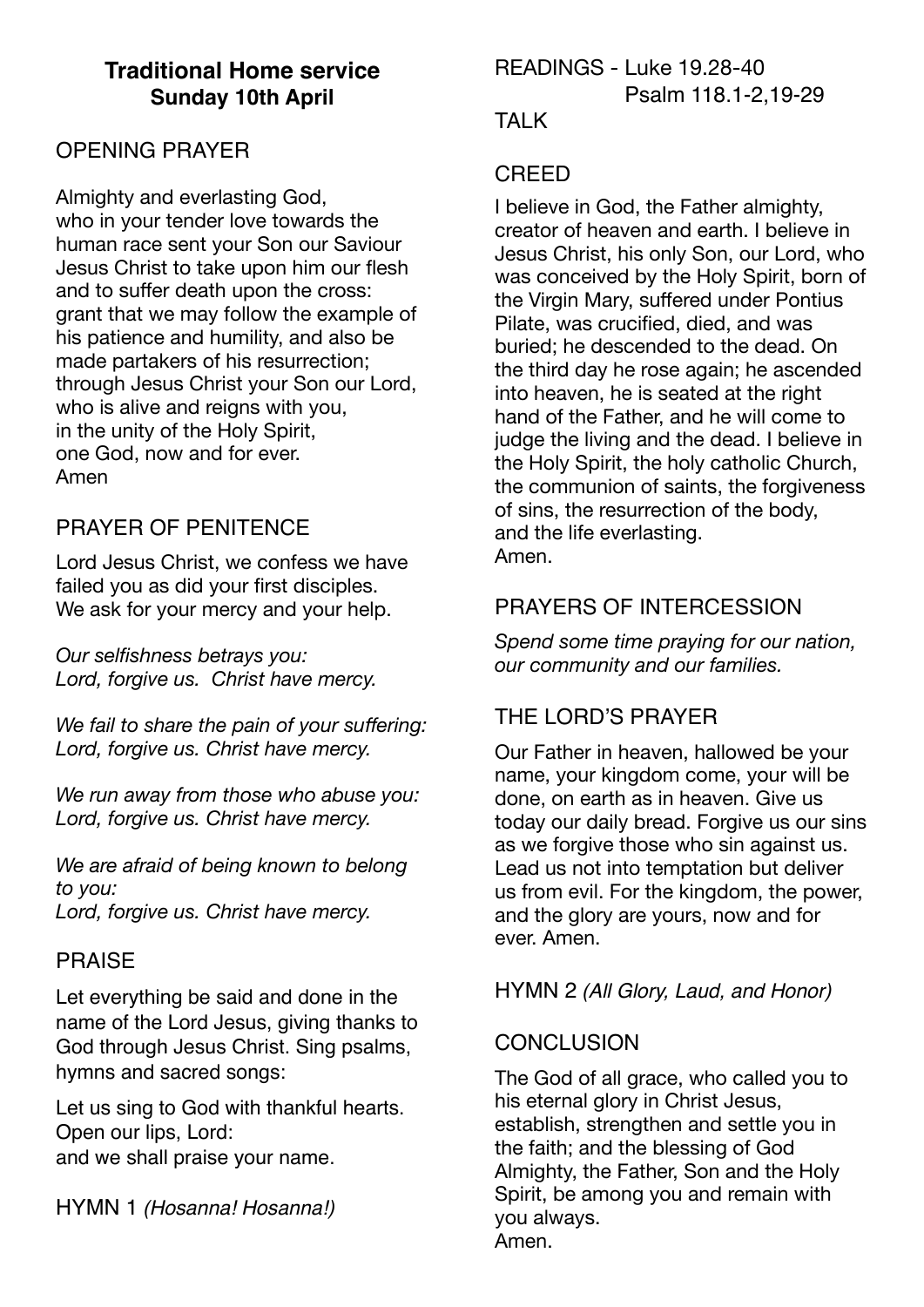# **Traditional Home service Sunday 10th April**

#### OPENING PRAYER

Almighty and everlasting God, who in your tender love towards the human race sent your Son our Saviour Jesus Christ to take upon him our flesh and to suffer death upon the cross: grant that we may follow the example of his patience and humility, and also be made partakers of his resurrection; through Jesus Christ your Son our Lord, who is alive and reigns with you, in the unity of the Holy Spirit, one God, now and for ever. Amen

# PRAYER OF PENITENCE

Lord Jesus Christ, we confess we have failed you as did your first disciples. We ask for your mercy and your help.

*Our selfishness betrays you: Lord, forgive us. Christ have mercy.* 

*We fail to share the pain of your suffering: Lord, forgive us. Christ have mercy.* 

*We run away from those who abuse you: Lord, forgive us. Christ have mercy.* 

*We are afraid of being known to belong to you: Lord, forgive us. Christ have mercy.* 

#### PRAISE

Let everything be said and done in the name of the Lord Jesus, giving thanks to God through Jesus Christ. Sing psalms, hymns and sacred songs:

Let us sing to God with thankful hearts. Open our lips, Lord: and we shall praise your name.

HYMN 1 *(Hosanna! Hosanna!)*

READINGS - Luke 19.28-40 Psalm 118.1-2,19-29

#### **TAI K**

### CREED

I believe in God, the Father almighty, creator of heaven and earth. I believe in Jesus Christ, his only Son, our Lord, who was conceived by the Holy Spirit, born of the Virgin Mary, suffered under Pontius Pilate, was crucified, died, and was buried; he descended to the dead. On the third day he rose again; he ascended into heaven, he is seated at the right hand of the Father, and he will come to judge the living and the dead. I believe in the Holy Spirit, the holy catholic Church, the communion of saints, the forgiveness of sins, the resurrection of the body, and the life everlasting. Amen.

### PRAYERS OF INTERCESSION

*Spend some time praying for our nation, our community and our families.* 

# THE LORD'S PRAYER

Our Father in heaven, hallowed be your name, your kingdom come, your will be done, on earth as in heaven. Give us today our daily bread. Forgive us our sins as we forgive those who sin against us. Lead us not into temptation but deliver us from evil. For the kingdom, the power, and the glory are yours, now and for ever. Amen.

HYMN 2 *(All Glory, Laud, and Honor)*

# **CONCLUSION**

The God of all grace, who called you to his eternal glory in Christ Jesus, establish, strengthen and settle you in the faith; and the blessing of God Almighty, the Father, Son and the Holy Spirit, be among you and remain with you always. Amen.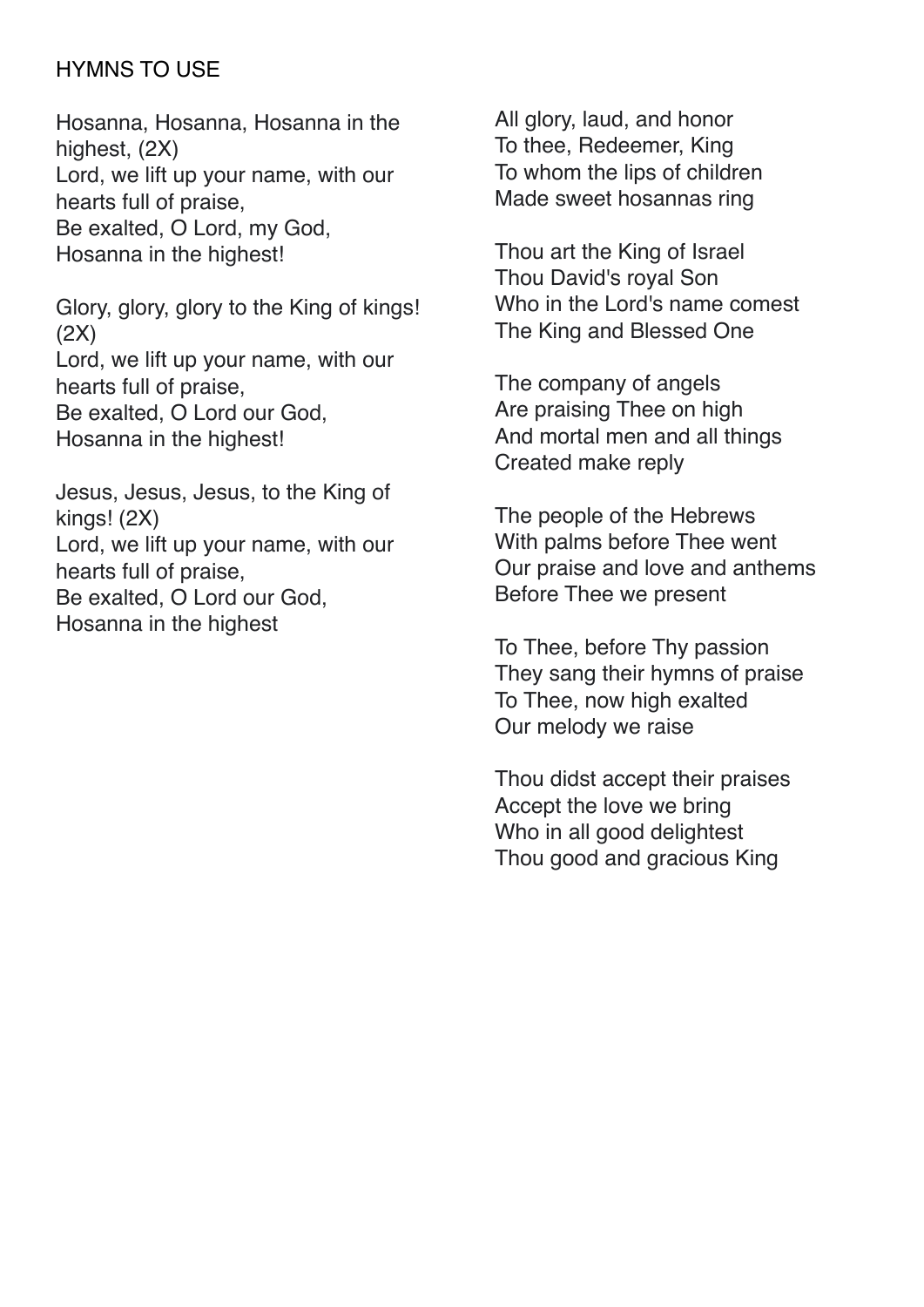# HYMNS TO USE

Hosanna, Hosanna, Hosanna in the highest, (2X) Lord, we lift up your name, with our hearts full of praise, Be exalted, O Lord, my God, Hosanna in the highest!

Glory, glory, glory to the King of kings!  $(2X)$ Lord, we lift up your name, with our hearts full of praise, Be exalted, O Lord our God, Hosanna in the highest!

Jesus, Jesus, Jesus, to the King of kings! (2X) Lord, we lift up your name, with our hearts full of praise, Be exalted, O Lord our God, Hosanna in the highest

All glory, laud, and honor To thee, Redeemer, King To whom the lips of children Made sweet hosannas ring

Thou art the King of Israel Thou David's royal Son Who in the Lord's name comest The King and Blessed One

The company of angels Are praising Thee on high And mortal men and all things Created make reply

The people of the Hebrews With palms before Thee went Our praise and love and anthems Before Thee we present

To Thee, before Thy passion They sang their hymns of praise To Thee, now high exalted Our melody we raise

Thou didst accept their praises Accept the love we bring Who in all good delightest Thou good and gracious King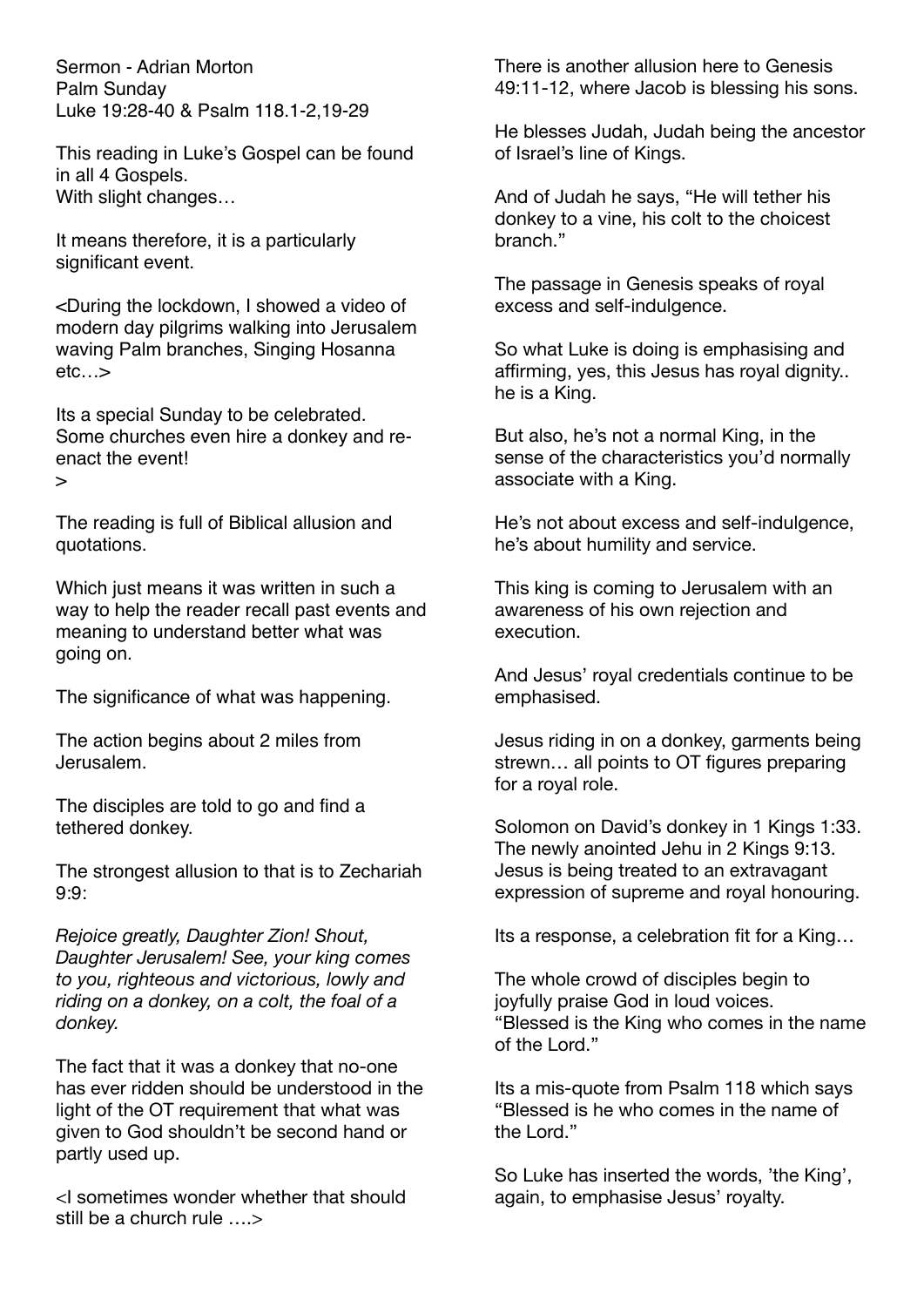Sermon - Adrian Morton Palm Sunday Luke 19:28-40 & Psalm 118.1-2,19-29

This reading in Luke's Gospel can be found in all 4 Gospels. With slight changes…

It means therefore, it is a particularly significant event.

<During the lockdown, I showed a video of modern day pilgrims walking into Jerusalem waving Palm branches, Singing Hosanna etc…>

Its a special Sunday to be celebrated. Some churches even hire a donkey and reenact the event!  $\overline{\phantom{a}}$ 

The reading is full of Biblical allusion and quotations.

Which just means it was written in such a way to help the reader recall past events and meaning to understand better what was going on.

The significance of what was happening.

The action begins about 2 miles from Jerusalem.

The disciples are told to go and find a tethered donkey.

The strongest allusion to that is to Zechariah 9:9:

*Rejoice greatly, Daughter Zion! Shout, Daughter Jerusalem! See, your king comes to you, righteous and victorious, lowly and riding on a donkey, on a colt, the foal of a donkey.* 

The fact that it was a donkey that no-one has ever ridden should be understood in the light of the OT requirement that what was given to God shouldn't be second hand or partly used up.

<I sometimes wonder whether that should still be a church rule ….>

There is another allusion here to Genesis 49:11-12, where Jacob is blessing his sons.

He blesses Judah, Judah being the ancestor of Israel's line of Kings.

And of Judah he says, "He will tether his donkey to a vine, his colt to the choicest branch."

The passage in Genesis speaks of royal excess and self-indulgence.

So what Luke is doing is emphasising and affirming, yes, this Jesus has royal dignity.. he is a King.

But also, he's not a normal King, in the sense of the characteristics you'd normally associate with a King.

He's not about excess and self-indulgence, he's about humility and service.

This king is coming to Jerusalem with an awareness of his own rejection and execution.

And Jesus' royal credentials continue to be emphasised.

Jesus riding in on a donkey, garments being strewn… all points to OT figures preparing for a royal role.

Solomon on David's donkey in 1 Kings 1:33. The newly anointed Jehu in 2 Kings 9:13. Jesus is being treated to an extravagant expression of supreme and royal honouring.

Its a response, a celebration fit for a King…

The whole crowd of disciples begin to joyfully praise God in loud voices. "Blessed is the King who comes in the name of the Lord."

Its a mis-quote from Psalm 118 which says "Blessed is he who comes in the name of the Lord."

So Luke has inserted the words, 'the King', again, to emphasise Jesus' royalty.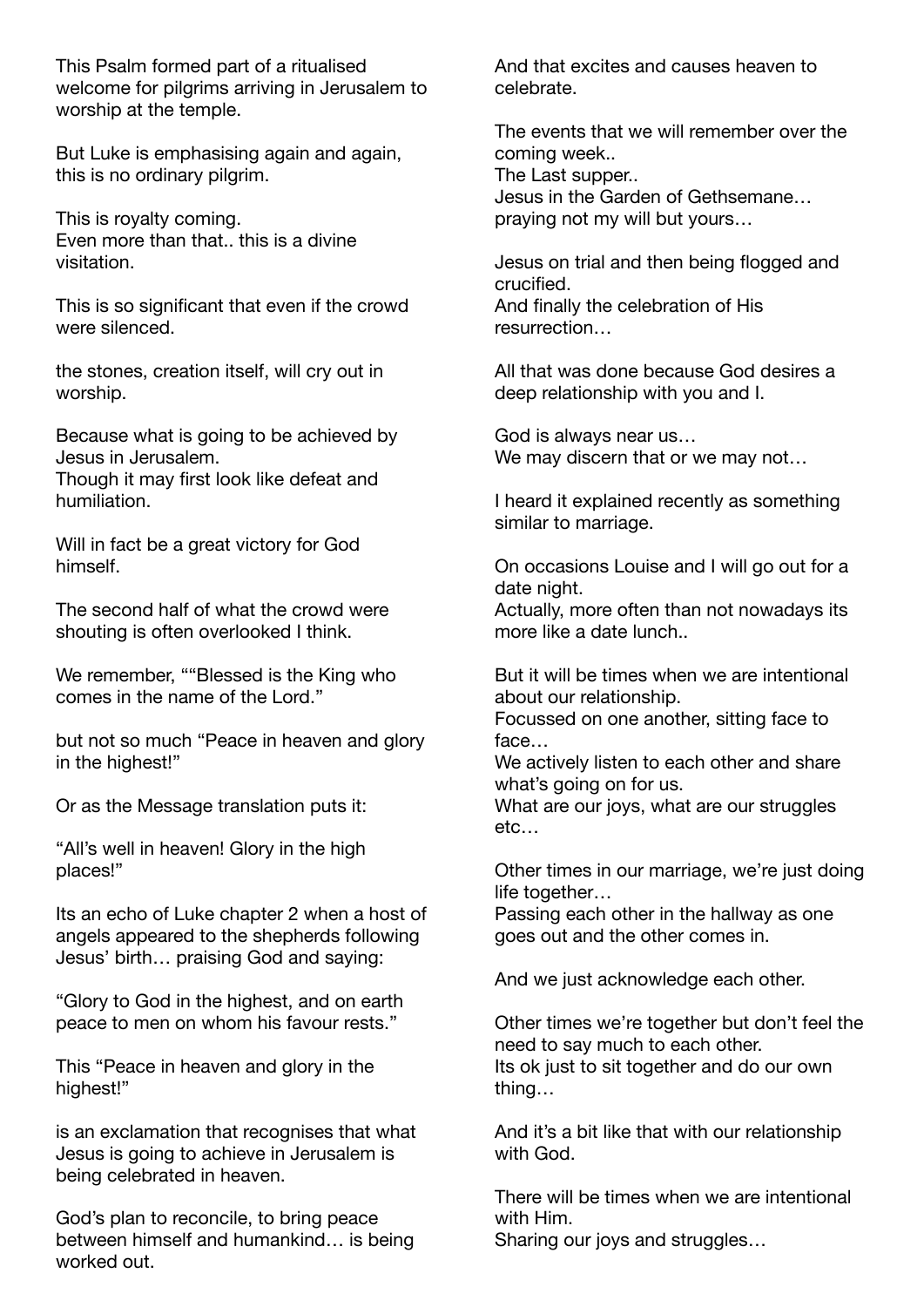This Psalm formed part of a ritualised welcome for pilgrims arriving in Jerusalem to worship at the temple.

But Luke is emphasising again and again, this is no ordinary pilgrim.

This is royalty coming. Even more than that.. this is a divine visitation.

This is so significant that even if the crowd were silenced.

the stones, creation itself, will cry out in worship.

Because what is going to be achieved by Jesus in Jerusalem. Though it may first look like defeat and humiliation.

Will in fact be a great victory for God himself.

The second half of what the crowd were shouting is often overlooked I think.

We remember, ""Blessed is the King who comes in the name of the Lord."

but not so much "Peace in heaven and glory in the highest!"

Or as the Message translation puts it:

"All's well in heaven! Glory in the high places!"

Its an echo of Luke chapter 2 when a host of angels appeared to the shepherds following Jesus' birth… praising God and saying:

"Glory to God in the highest, and on earth peace to men on whom his favour rests."

This "Peace in heaven and glory in the highest!"

is an exclamation that recognises that what Jesus is going to achieve in Jerusalem is being celebrated in heaven.

God's plan to reconcile, to bring peace between himself and humankind… is being worked out.

And that excites and causes heaven to celebrate.

The events that we will remember over the coming week.. The Last supper.. Jesus in the Garden of Gethsemane… praying not my will but yours…

Jesus on trial and then being flogged and crucified. And finally the celebration of His resurrection…

All that was done because God desires a deep relationship with you and I.

God is always near us… We may discern that or we may not…

I heard it explained recently as something similar to marriage.

On occasions Louise and I will go out for a date night.

Actually, more often than not nowadays its more like a date lunch..

But it will be times when we are intentional about our relationship.

Focussed on one another, sitting face to face…

We actively listen to each other and share what's going on for us.

What are our joys, what are our struggles etc…

Other times in our marriage, we're just doing life together…

Passing each other in the hallway as one goes out and the other comes in.

And we just acknowledge each other.

Other times we're together but don't feel the need to say much to each other. Its ok just to sit together and do our own thing…

And it's a bit like that with our relationship with God.

There will be times when we are intentional with Him.

Sharing our joys and struggles…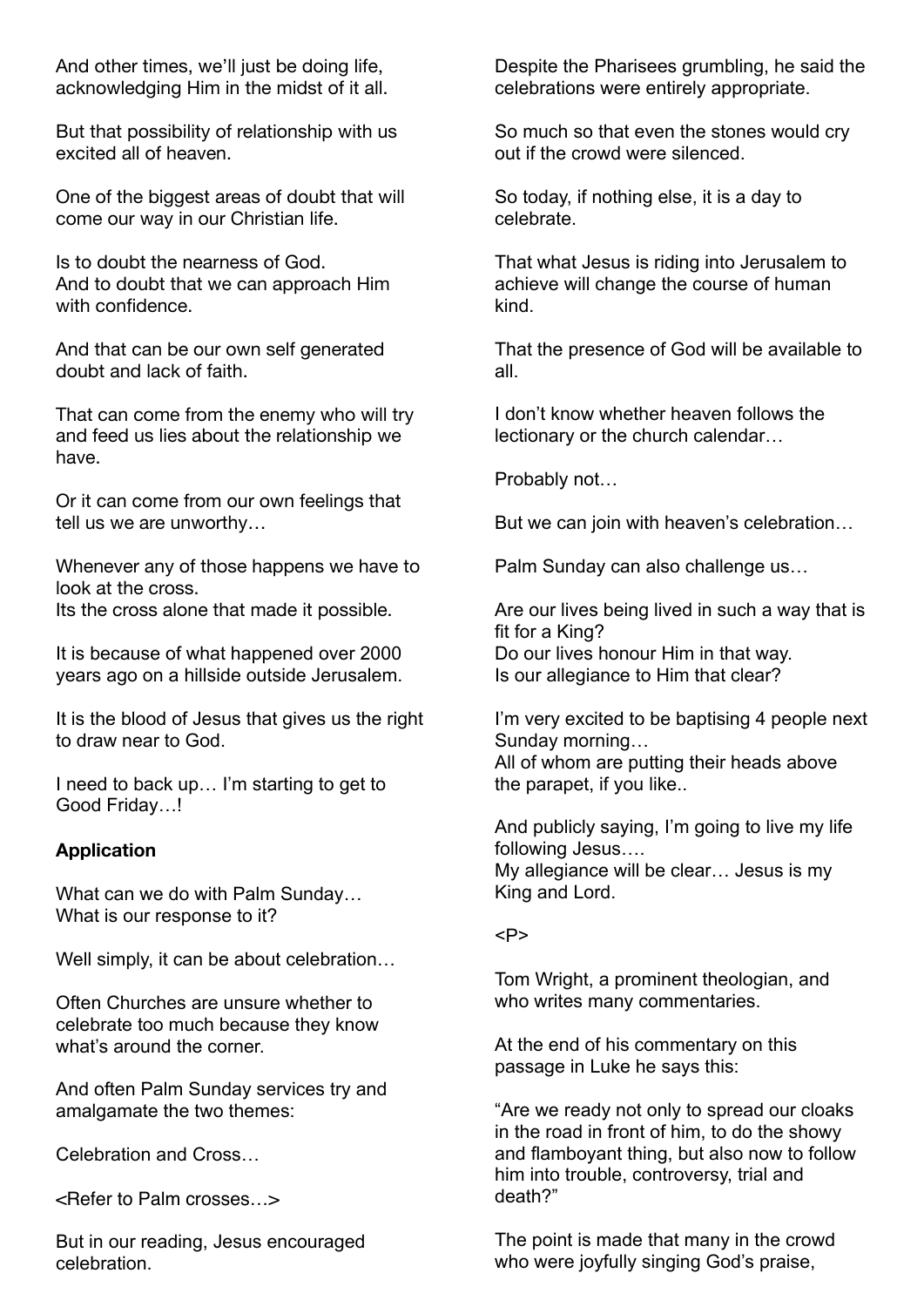And other times, we'll just be doing life, acknowledging Him in the midst of it all.

But that possibility of relationship with us excited all of heaven.

One of the biggest areas of doubt that will come our way in our Christian life.

Is to doubt the nearness of God. And to doubt that we can approach Him with confidence.

And that can be our own self generated doubt and lack of faith.

That can come from the enemy who will try and feed us lies about the relationship we have.

Or it can come from our own feelings that tell us we are unworthy…

Whenever any of those happens we have to look at the cross.

Its the cross alone that made it possible.

It is because of what happened over 2000 years ago on a hillside outside Jerusalem.

It is the blood of Jesus that gives us the right to draw near to God.

I need to back up… I'm starting to get to Good Friday…!

#### **Application**

What can we do with Palm Sunday… What is our response to it?

Well simply, it can be about celebration…

Often Churches are unsure whether to celebrate too much because they know what's around the corner.

And often Palm Sunday services try and amalgamate the two themes:

Celebration and Cross…

<Refer to Palm crosses…>

But in our reading, Jesus encouraged celebration.

Despite the Pharisees grumbling, he said the celebrations were entirely appropriate.

So much so that even the stones would cry out if the crowd were silenced.

So today, if nothing else, it is a day to celebrate.

That what Jesus is riding into Jerusalem to achieve will change the course of human kind.

That the presence of God will be available to all.

I don't know whether heaven follows the lectionary or the church calendar…

Probably not…

But we can join with heaven's celebration…

Palm Sunday can also challenge us…

Are our lives being lived in such a way that is fit for a King? Do our lives honour Him in that way. Is our allegiance to Him that clear?

I'm very excited to be baptising 4 people next Sunday morning… All of whom are putting their heads above the parapet, if you like..

And publicly saying, I'm going to live my life following Jesus…. My allegiance will be clear… Jesus is my King and Lord.

<P>

Tom Wright, a prominent theologian, and who writes many commentaries.

At the end of his commentary on this passage in Luke he says this:

"Are we ready not only to spread our cloaks in the road in front of him, to do the showy and flamboyant thing, but also now to follow him into trouble, controversy, trial and death?"

The point is made that many in the crowd who were joyfully singing God's praise,